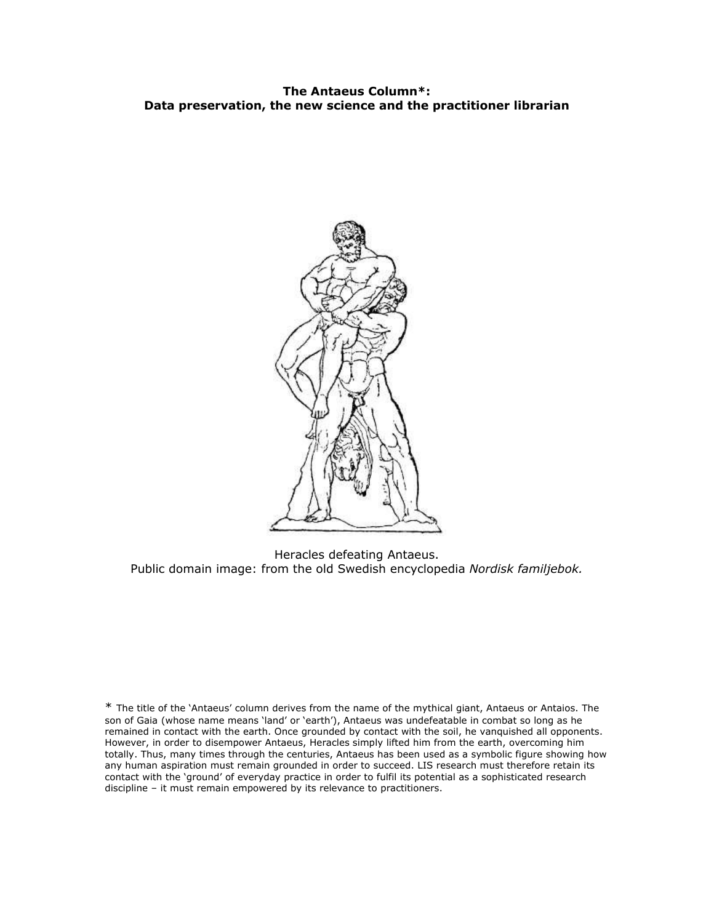### **The Antaeus Column\*: Data preservation, the new science and the practitioner librarian**



Heracles defeating Antaeus. Public domain image: from the old Swedish encyclopedia *Nordisk familjebok.*

\* The title of the `Antaeus' column derives from the name of the mythical giant, Antaeus or Antaios. The son of Gaia (whose name means 'land' or 'earth'), Antaeus was undefeatable in combat so long as he remained in contact with the earth. Once grounded by contact with the soil, he vanquished all opponents. However, in order to disempower Antaeus, Heracles simply lifted him from the earth, overcoming him totally. Thus, many times through the centuries, Antaeus has been used as a symbolic figure showing how any human aspiration must remain grounded in order to succeed. LIS research must therefore retain its contact with the 'ground' of everyday practice in order to fulfil its potential as a sophisticated research discipline – it must remain empowered by its relevance to practitioners.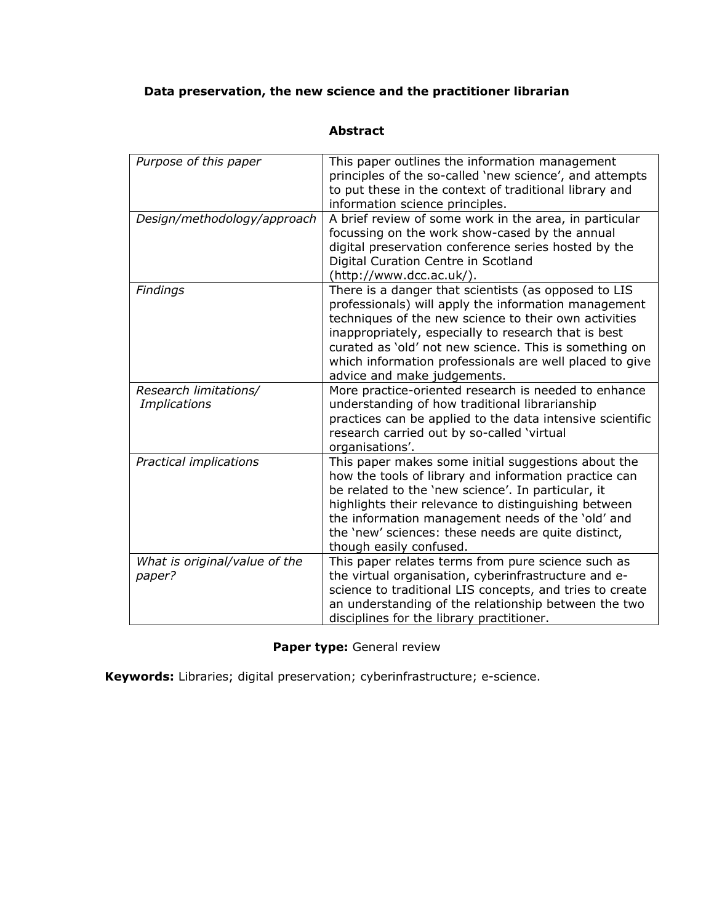# **Data preservation, the new science and the practitioner librarian**

| Purpose of this paper                        | This paper outlines the information management<br>principles of the so-called 'new science', and attempts<br>to put these in the context of traditional library and<br>information science principles.                                                                                                                                                                            |
|----------------------------------------------|-----------------------------------------------------------------------------------------------------------------------------------------------------------------------------------------------------------------------------------------------------------------------------------------------------------------------------------------------------------------------------------|
| Design/methodology/approach                  | A brief review of some work in the area, in particular<br>focussing on the work show-cased by the annual<br>digital preservation conference series hosted by the<br>Digital Curation Centre in Scotland<br>(http://www.dcc.ac.uk/).                                                                                                                                               |
| Findings                                     | There is a danger that scientists (as opposed to LIS<br>professionals) will apply the information management<br>techniques of the new science to their own activities<br>inappropriately, especially to research that is best<br>curated as 'old' not new science. This is something on<br>which information professionals are well placed to give<br>advice and make judgements. |
| Research limitations/<br><b>Implications</b> | More practice-oriented research is needed to enhance<br>understanding of how traditional librarianship<br>practices can be applied to the data intensive scientific<br>research carried out by so-called 'virtual<br>organisations'.                                                                                                                                              |
| Practical implications                       | This paper makes some initial suggestions about the<br>how the tools of library and information practice can<br>be related to the 'new science'. In particular, it<br>highlights their relevance to distinguishing between<br>the information management needs of the 'old' and<br>the 'new' sciences: these needs are quite distinct,<br>though easily confused.                 |
| What is original/value of the<br>paper?      | This paper relates terms from pure science such as<br>the virtual organisation, cyberinfrastructure and e-<br>science to traditional LIS concepts, and tries to create<br>an understanding of the relationship between the two<br>disciplines for the library practitioner.                                                                                                       |

## **Abstract**

## **Paper type:** General review

**Keywords:** Libraries; digital preservation; cyberinfrastructure; e-science.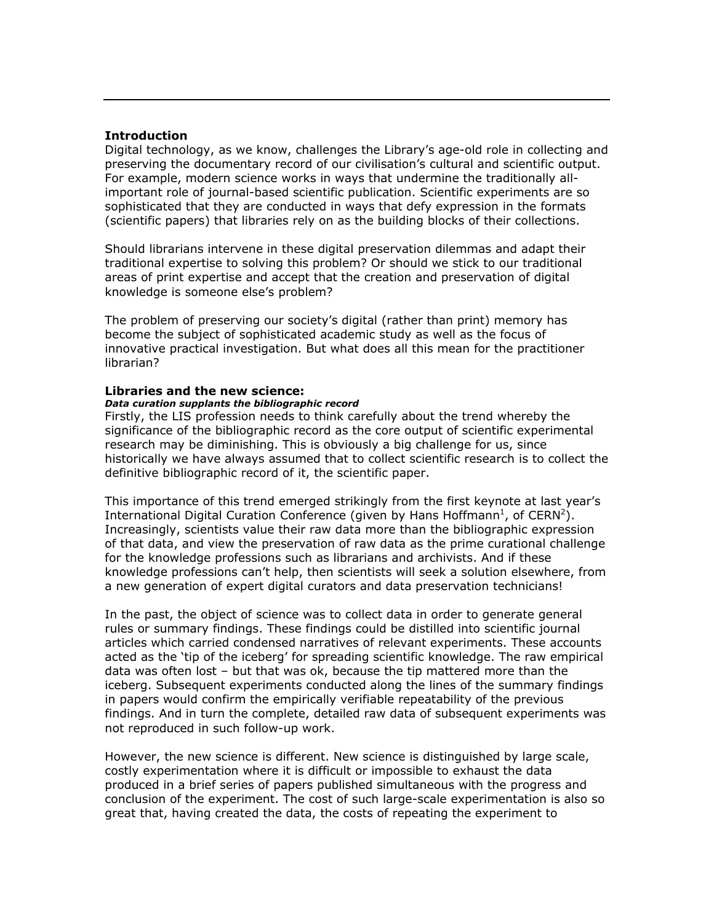### **Introduction**

Digital technology, as we know, challenges the Libraryís age-old role in collecting and preserving the documentary record of our civilisation's cultural and scientific output. For example, modern science works in ways that undermine the traditionally allimportant role of journal-based scientific publication. Scientific experiments are so sophisticated that they are conducted in ways that defy expression in the formats (scientific papers) that libraries rely on as the building blocks of their collections.

Should librarians intervene in these digital preservation dilemmas and adapt their traditional expertise to solving this problem? Or should we stick to our traditional areas of print expertise and accept that the creation and preservation of digital knowledge is someone else's problem?

The problem of preserving our societyís digital (rather than print) memory has become the subject of sophisticated academic study as well as the focus of innovative practical investigation. But what does all this mean for the practitioner librarian?

#### **Libraries and the new science:**

#### *Data curation supplants the bibliographic record*

Firstly, the LIS profession needs to think carefully about the trend whereby the significance of the bibliographic record as the core output of scientific experimental research may be diminishing. This is obviously a big challenge for us, since historically we have always assumed that to collect scientific research is to collect the definitive bibliographic record of it, the scientific paper.

This importance of this trend emerged strikingly from the first keynote at last year's International Digital Curation Conference (given by Hans Hoffmann<sup>1</sup>, of CERN<sup>2</sup>). Increasingly, scientists value their raw data more than the bibliographic expression of that data, and view the preservation of raw data as the prime curational challenge for the knowledge professions such as librarians and archivists. And if these knowledge professions canít help, then scientists will seek a solution elsewhere, from a new generation of expert digital curators and data preservation technicians!

In the past, the object of science was to collect data in order to generate general rules or summary findings. These findings could be distilled into scientific journal articles which carried condensed narratives of relevant experiments. These accounts acted as the 'tip of the iceberg' for spreading scientific knowledge. The raw empirical data was often lost  $-$  but that was ok, because the tip mattered more than the iceberg. Subsequent experiments conducted along the lines of the summary findings in papers would confirm the empirically verifiable repeatability of the previous findings. And in turn the complete, detailed raw data of subsequent experiments was not reproduced in such follow-up work.

However, the new science is different. New science is distinguished by large scale, costly experimentation where it is difficult or impossible to exhaust the data produced in a brief series of papers published simultaneous with the progress and conclusion of the experiment. The cost of such large-scale experimentation is also so great that, having created the data, the costs of repeating the experiment to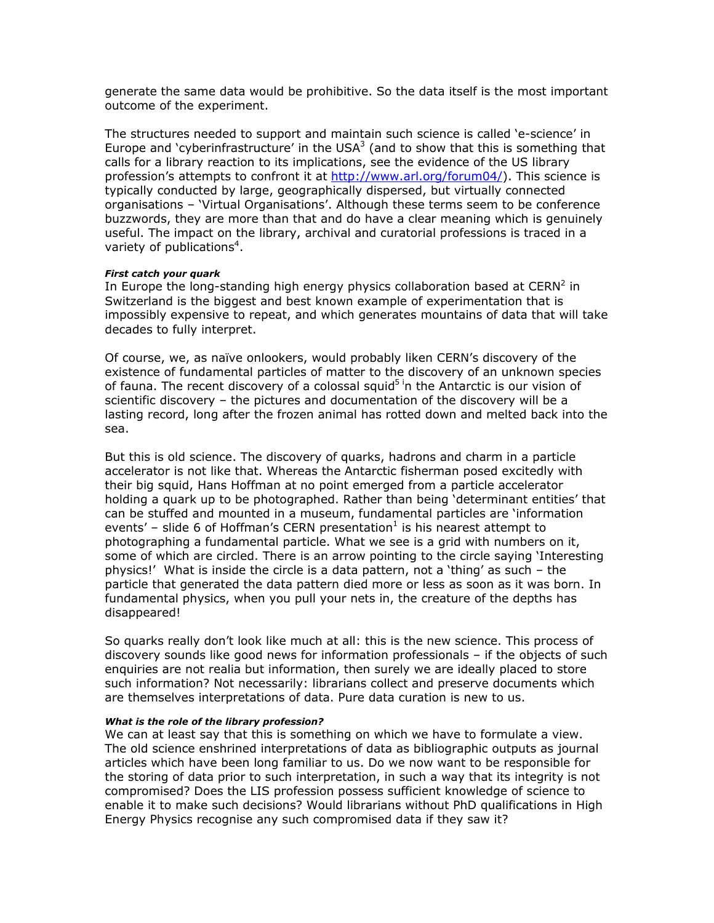generate the same data would be prohibitive. So the data itself is the most important outcome of the experiment.

The structures needed to support and maintain such science is called 'e-science' in Europe and 'cyberinfrastructure' in the USA<sup>3</sup> (and to show that this is something that calls for a library reaction to its implications, see the evidence of the US library profession's attempts to confront it at<http://www.arl.org/forum04/>). This science is typically conducted by large, geographically dispersed, but virtually connected organisations - 'Virtual Organisations'. Although these terms seem to be conference buzzwords, they are more than that and do have a clear meaning which is genuinely useful. The impact on the library, archival and curatorial professions is traced in a variety of publications<sup>4</sup>.

#### *First catch your quark*

In Europe the long-standing high energy physics collaboration based at  $CERN<sup>2</sup>$  in Switzerland is the biggest and best known example of experimentation that is impossibly expensive to repeat, and which generates mountains of data that will take decades to fully interpret.

Of course, we, as naïve onlookers, would probably liken CERN's discovery of the existence of fundamental particles of matter to the discovery of an unknown species of fauna. The recent discovery of a colossal squid<sup>5 i</sup>n the Antarctic is our vision of scientific discovery  $-$  the pictures and documentation of the discovery will be a lasting record, long after the frozen animal has rotted down and melted back into the sea.

But this is old science. The discovery of quarks, hadrons and charm in a particle accelerator is not like that. Whereas the Antarctic fisherman posed excitedly with their big squid, Hans Hoffman at no point emerged from a particle accelerator holding a quark up to be photographed. Rather than being 'determinant entities' that can be stuffed and mounted in a museum, fundamental particles are 'information events' – slide 6 of Hoffman's CERN presentation<sup>1</sup> is his nearest attempt to photographing a fundamental particle. What we see is a grid with numbers on it, some of which are circled. There is an arrow pointing to the circle saying 'Interesting physics!' What is inside the circle is a data pattern, not a 'thing' as such  $-$  the particle that generated the data pattern died more or less as soon as it was born. In fundamental physics, when you pull your nets in, the creature of the depths has disappeared!

So quarks really donít look like much at all: this is the new science. This process of discovery sounds like good news for information professionals  $-$  if the objects of such enquiries are not realia but information, then surely we are ideally placed to store such information? Not necessarily: librarians collect and preserve documents which are themselves interpretations of data. Pure data curation is new to us.

#### *What is the role of the library profession?*

We can at least say that this is something on which we have to formulate a view. The old science enshrined interpretations of data as bibliographic outputs as journal articles which have been long familiar to us. Do we now want to be responsible for the storing of data prior to such interpretation, in such a way that its integrity is not compromised? Does the LIS profession possess sufficient knowledge of science to enable it to make such decisions? Would librarians without PhD qualifications in High Energy Physics recognise any such compromised data if they saw it?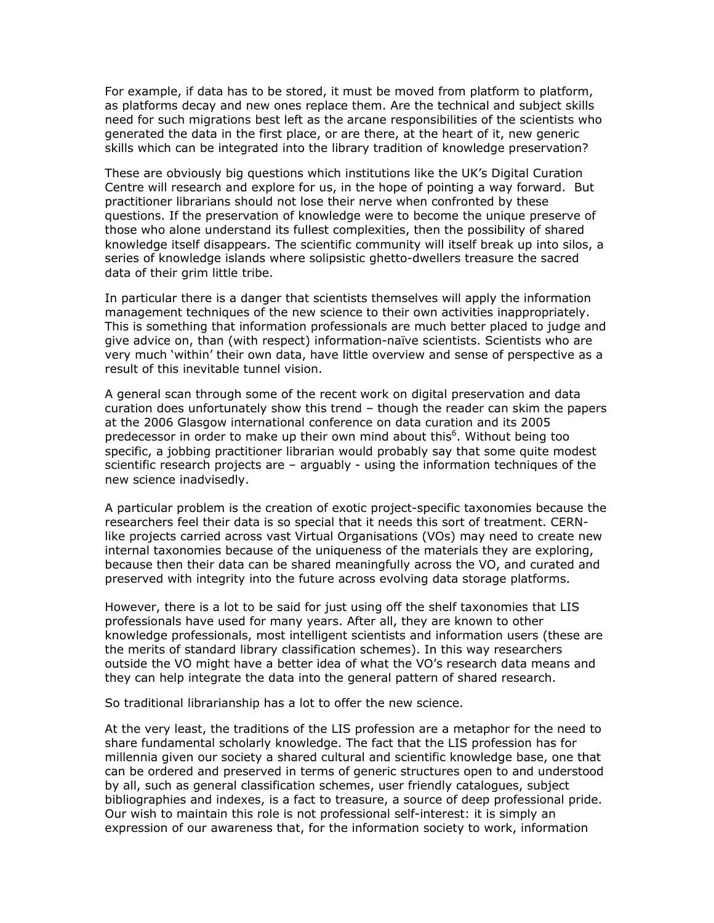For example, if data has to be stored, it must be moved from platform to platform, as platforms decay and new ones replace them. Are the technical and subject skills need for such migrations best left as the arcane responsibilities of the scientists who generated the data in the first place, or are there, at the heart of it, new generic skills which can be integrated into the library tradition of knowledge preservation?

These are obviously big questions which institutions like the UKís Digital Curation Centre will research and explore for us, in the hope of pointing a way forward. But practitioner librarians should not lose their nerve when confronted by these questions. If the preservation of knowledge were to become the unique preserve of those who alone understand its fullest complexities, then the possibility of shared knowledge itself disappears. The scientific community will itself break up into silos, a series of knowledge islands where solipsistic ghetto-dwellers treasure the sacred data of their grim little tribe.

In particular there is a danger that scientists themselves will apply the information management techniques of the new science to their own activities inappropriately. This is something that information professionals are much better placed to judge and give advice on, than (with respect) information-naïve scientists. Scientists who are very much 'within' their own data, have little overview and sense of perspective as a result of this inevitable tunnel vision.

A general scan through some of the recent work on digital preservation and data curation does unfortunately show this trend  $-$  though the reader can skim the papers at the 2006 Glasgow international conference on data curation and its 2005 predecessor in order to make up their own mind about this<sup>6</sup>. Without being too specific, a jobbing practitioner librarian would probably say that some quite modest scientific research projects are  $-$  arguably - using the information techniques of the new science inadvisedly.

A particular problem is the creation of exotic project-specific taxonomies because the researchers feel their data is so special that it needs this sort of treatment. CERNlike projects carried across vast Virtual Organisations (VOs) may need to create new internal taxonomies because of the uniqueness of the materials they are exploring, because then their data can be shared meaningfully across the VO, and curated and preserved with integrity into the future across evolving data storage platforms.

However, there is a lot to be said for just using off the shelf taxonomies that LIS professionals have used for many years. After all, they are known to other knowledge professionals, most intelligent scientists and information users (these are the merits of standard library classification schemes). In this way researchers outside the VO might have a better idea of what the VOís research data means and they can help integrate the data into the general pattern of shared research.

So traditional librarianship has a lot to offer the new science.

At the very least, the traditions of the LIS profession are a metaphor for the need to share fundamental scholarly knowledge. The fact that the LIS profession has for millennia given our society a shared cultural and scientific knowledge base, one that can be ordered and preserved in terms of generic structures open to and understood by all, such as general classification schemes, user friendly catalogues, subject bibliographies and indexes, is a fact to treasure, a source of deep professional pride. Our wish to maintain this role is not professional self-interest: it is simply an expression of our awareness that, for the information society to work, information